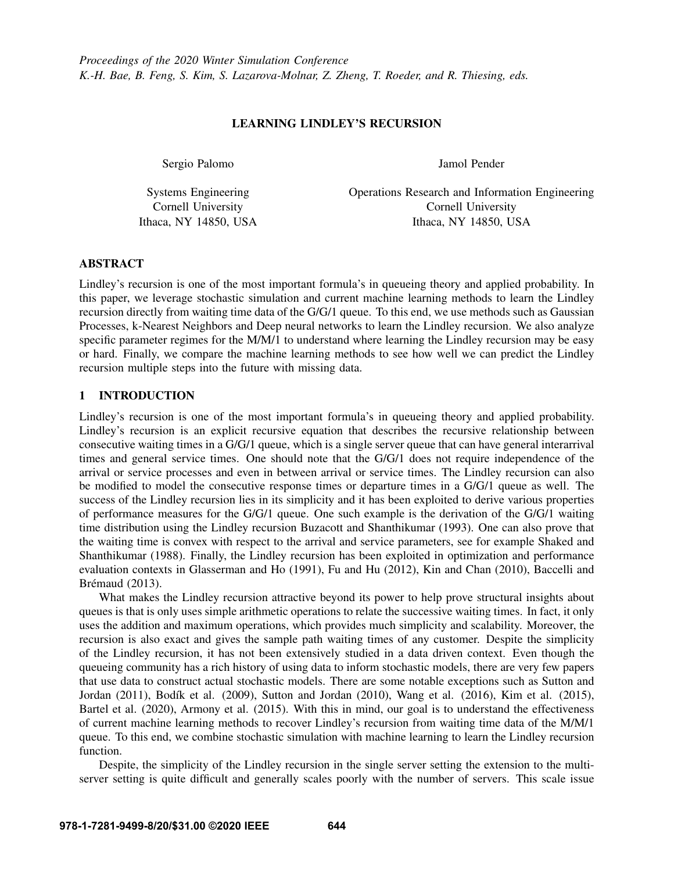### LEARNING LINDLEY'S RECURSION

Sergio Palomo

Systems Engineering Cornell University Ithaca, NY 14850, USA Jamol Pender

Operations Research and Information Engineering Cornell University Ithaca, NY 14850, USA

### ABSTRACT

Lindley's recursion is one of the most important formula's in queueing theory and applied probability. In this paper, we leverage stochastic simulation and current machine learning methods to learn the Lindley recursion directly from waiting time data of the G/G/1 queue. To this end, we use methods such as Gaussian Processes, k-Nearest Neighbors and Deep neural networks to learn the Lindley recursion. We also analyze specific parameter regimes for the M/M/1 to understand where learning the Lindley recursion may be easy or hard. Finally, we compare the machine learning methods to see how well we can predict the Lindley recursion multiple steps into the future with missing data.

### 1 INTRODUCTION

Lindley's recursion is one of the most important formula's in queueing theory and applied probability. Lindley's recursion is an explicit recursive equation that describes the recursive relationship between consecutive waiting times in a G/G/1 queue, which is a single server queue that can have general interarrival times and general service times. One should note that the G/G/1 does not require independence of the arrival or service processes and even in between arrival or service times. The Lindley recursion can also be modified to model the consecutive response times or departure times in a G/G/1 queue as well. The success of the Lindley recursion lies in its simplicity and it has been exploited to derive various properties of performance measures for the G/G/1 queue. One such example is the derivation of the G/G/1 waiting time distribution using the Lindley recursion [Buzacott and Shanthikumar \(1993\).](#page-10-0) One can also prove that the waiting time is convex with respect to the arrival and service parameters, see for example [Shaked and](#page-11-0) [Shanthikumar \(1988\).](#page-11-0) Finally, the Lindley recursion has been exploited in optimization and performance evaluation contexts in [Glasserman and Ho \(1991\),](#page-10-1) [Fu and Hu \(2012\),](#page-10-2) [Kin and Chan \(2010\),](#page-10-3) [Baccelli and](#page-10-4) Brémaud (2013).

What makes the Lindley recursion attractive beyond its power to help prove structural insights about queues is that is only uses simple arithmetic operations to relate the successive waiting times. In fact, it only uses the addition and maximum operations, which provides much simplicity and scalability. Moreover, the recursion is also exact and gives the sample path waiting times of any customer. Despite the simplicity of the Lindley recursion, it has not been extensively studied in a data driven context. Even though the queueing community has a rich history of using data to inform stochastic models, there are very few papers that use data to construct actual stochastic models. There are some notable exceptions such as [Sutton and](#page-11-1) [Jordan \(2011\),](#page-11-1) Bodík et al. (2009), [Sutton and Jordan \(2010\),](#page-11-2) [Wang et al. \(2016\),](#page-11-3) [Kim et al. \(2015\),](#page-10-6) [Bartel et al. \(2020\),](#page-10-7) [Armony et al. \(2015\).](#page-10-8) With this in mind, our goal is to understand the effectiveness of current machine learning methods to recover Lindley's recursion from waiting time data of the M/M/1 queue. To this end, we combine stochastic simulation with machine learning to learn the Lindley recursion function.

Despite, the simplicity of the Lindley recursion in the single server setting the extension to the multiserver setting is quite difficult and generally scales poorly with the number of servers. This scale issue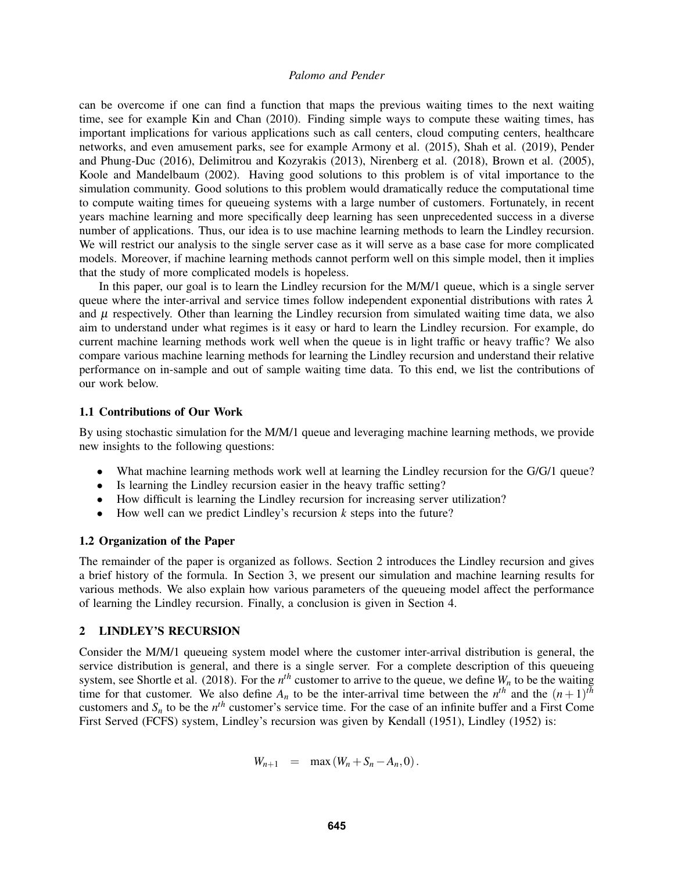can be overcome if one can find a function that maps the previous waiting times to the next waiting time, see for example [Kin and Chan \(2010\).](#page-10-3) Finding simple ways to compute these waiting times, has important implications for various applications such as call centers, cloud computing centers, healthcare networks, and even amusement parks, see for example [Armony et al. \(2015\),](#page-10-8) [Shah et al. \(2019\),](#page-11-4) [Pender](#page-11-5) [and Phung-Duc \(2016\),](#page-11-5) [Delimitrou and Kozyrakis \(2013\),](#page-10-9) [Nirenberg et al. \(2018\),](#page-11-6) [Brown et al. \(2005\),](#page-10-10) [Koole and Mandelbaum \(2002\).](#page-11-7) Having good solutions to this problem is of vital importance to the simulation community. Good solutions to this problem would dramatically reduce the computational time to compute waiting times for queueing systems with a large number of customers. Fortunately, in recent years machine learning and more specifically deep learning has seen unprecedented success in a diverse number of applications. Thus, our idea is to use machine learning methods to learn the Lindley recursion. We will restrict our analysis to the single server case as it will serve as a base case for more complicated models. Moreover, if machine learning methods cannot perform well on this simple model, then it implies that the study of more complicated models is hopeless.

In this paper, our goal is to learn the Lindley recursion for the M/M/1 queue, which is a single server queue where the inter-arrival and service times follow independent exponential distributions with rates  $\lambda$ and  $\mu$  respectively. Other than learning the Lindley recursion from simulated waiting time data, we also aim to understand under what regimes is it easy or hard to learn the Lindley recursion. For example, do current machine learning methods work well when the queue is in light traffic or heavy traffic? We also compare various machine learning methods for learning the Lindley recursion and understand their relative performance on in-sample and out of sample waiting time data. To this end, we list the contributions of our work below.

# 1.1 Contributions of Our Work

By using stochastic simulation for the M/M/1 queue and leveraging machine learning methods, we provide new insights to the following questions:

- What machine learning methods work well at learning the Lindley recursion for the G/G/1 queue?
- Is learning the Lindley recursion easier in the heavy traffic setting?
- How difficult is learning the Lindley recursion for increasing server utilization?
- How well can we predict Lindley's recursion *k* steps into the future?

#### 1.2 Organization of the Paper

The remainder of the paper is organized as follows. Section [2](#page-1-0) introduces the Lindley recursion and gives a brief history of the formula. In Section [3,](#page-3-0) we present our simulation and machine learning results for various methods. We also explain how various parameters of the queueing model affect the performance of learning the Lindley recursion. Finally, a conclusion is given in Section [4.](#page-9-0)

#### <span id="page-1-0"></span>2 LINDLEY'S RECURSION

Consider the M/M/1 queueing system model where the customer inter-arrival distribution is general, the service distribution is general, and there is a single server. For a complete description of this queueing system, see [Shortle et al. \(2018\).](#page-11-8) For the  $n^{th}$  customer to arrive to the queue, we define  $W_n$  to be the waiting time for that customer. We also define  $A_n$  to be the inter-arrival time between the  $n^{th}$  and the  $(n+1)^{th}$ customers and  $S_n$  to be the  $n^{th}$  customer's service time. For the case of an infinite buffer and a First Come First Served (FCFS) system, Lindley's recursion was given by [Kendall \(1951\),](#page-10-11) [Lindley \(1952\)](#page-11-9) is:

$$
W_{n+1} = \max(W_n + S_n - A_n, 0).
$$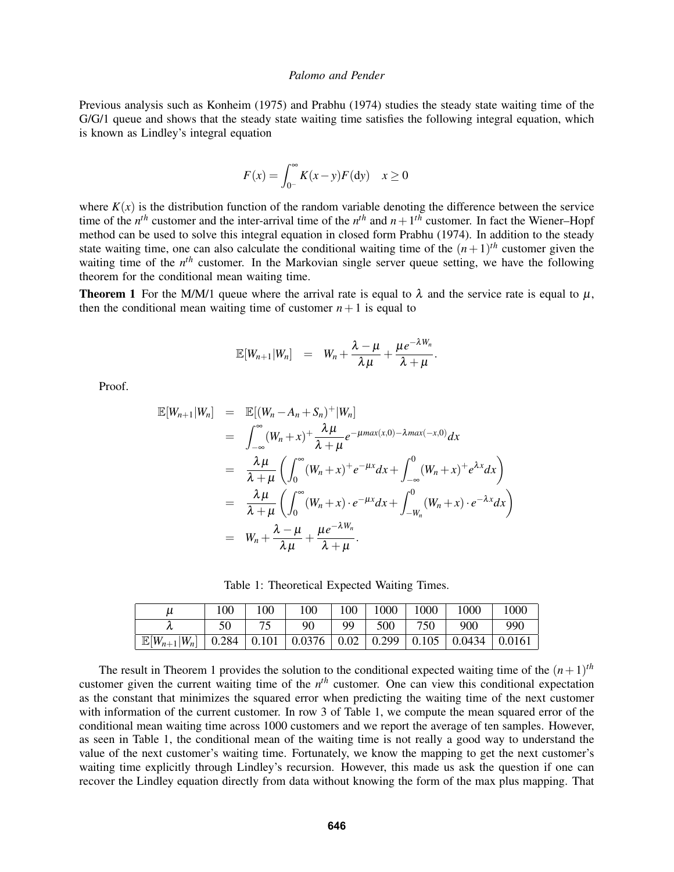Previous analysis such as [Konheim \(1975\)](#page-10-12) and [Prabhu \(1974\)](#page-11-10) studies the steady state waiting time of the G/G/1 queue and shows that the steady state waiting time satisfies the following integral equation, which is known as Lindley's integral equation

$$
F(x) = \int_{0^-}^{\infty} K(x - y) F(dy) \quad x \ge 0
$$

where  $K(x)$  is the distribution function of the random variable denoting the difference between the service time of the  $n^{th}$  customer and the inter-arrival time of the  $n^{th}$  and  $n+1^{th}$  customer. In fact the Wiener–Hopf method can be used to solve this integral equation in closed form [Prabhu \(1974\).](#page-11-10) In addition to the steady state waiting time, one can also calculate the conditional waiting time of the  $(n+1)$ <sup>th</sup> customer given the waiting time of the *n<sup>th</sup>* customer. In the Markovian single server queue setting, we have the following theorem for the conditional mean waiting time.

<span id="page-2-0"></span>**Theorem 1** For the M/M/1 queue where the arrival rate is equal to  $\lambda$  and the service rate is equal to  $\mu$ , then the conditional mean waiting time of customer  $n+1$  is equal to

$$
\mathbb{E}[W_{n+1}|W_n] = W_n + \frac{\lambda - \mu}{\lambda \mu} + \frac{\mu e^{-\lambda W_n}}{\lambda + \mu}.
$$

Proof.

$$
\mathbb{E}[W_{n+1}|W_n] = \mathbb{E}[(W_n - A_n + S_n)^+|W_n]
$$
  
\n
$$
= \int_{-\infty}^{\infty} (W_n + x)^+ \frac{\lambda \mu}{\lambda + \mu} e^{-\mu max(x,0) - \lambda max(-x,0)} dx
$$
  
\n
$$
= \frac{\lambda \mu}{\lambda + \mu} \left( \int_0^{\infty} (W_n + x)^+ e^{-\mu x} dx + \int_{-\infty}^0 (W_n + x)^+ e^{\lambda x} dx \right)
$$
  
\n
$$
= \frac{\lambda \mu}{\lambda + \mu} \left( \int_0^{\infty} (W_n + x) \cdot e^{-\mu x} dx + \int_{-W_n}^0 (W_n + x) \cdot e^{-\lambda x} dx \right)
$$
  
\n
$$
= W_n + \frac{\lambda - \mu}{\lambda \mu} + \frac{\mu e^{-\lambda W_n}}{\lambda + \mu}.
$$

Table 1: Theoretical Expected Waiting Times.

<span id="page-2-1"></span>

| и                                                                                  | 100 | 100 | 100 | 100 | 1000 | 1000 | 1000 | 1000          |
|------------------------------------------------------------------------------------|-----|-----|-----|-----|------|------|------|---------------|
|                                                                                    | 50  |     | 90  | 99  | 500  | 750  | 900  | 990           |
| $\mathbb{E}[W_{n+1} W_n]$   0.284   0.101   0.0376   0.02   0.299   0.105   0.0434 |     |     |     |     |      |      |      | $\mid 0.0161$ |

The result in Theorem [1](#page-2-0) provides the solution to the conditional expected waiting time of the  $(n+1)$ <sup>th</sup> customer given the current waiting time of the  $n<sup>th</sup>$  customer. One can view this conditional expectation as the constant that minimizes the squared error when predicting the waiting time of the next customer with information of the current customer. In row 3 of Table [1,](#page-2-1) we compute the mean squared error of the conditional mean waiting time across 1000 customers and we report the average of ten samples. However, as seen in Table [1,](#page-2-1) the conditional mean of the waiting time is not really a good way to understand the value of the next customer's waiting time. Fortunately, we know the mapping to get the next customer's waiting time explicitly through Lindley's recursion. However, this made us ask the question if one can recover the Lindley equation directly from data without knowing the form of the max plus mapping. That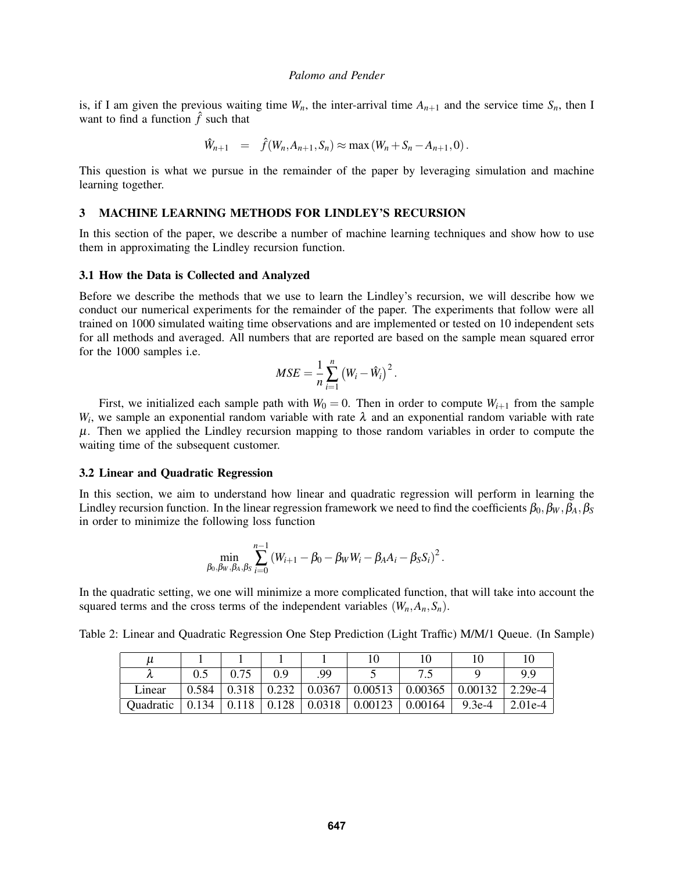is, if I am given the previous waiting time  $W_n$ , the inter-arrival time  $A_{n+1}$  and the service time  $S_n$ , then I want to find a function  $\hat{f}$  such that

$$
\hat{W}_{n+1} = \hat{f}(W_n, A_{n+1}, S_n) \approx \max(W_n + S_n - A_{n+1}, 0).
$$

This question is what we pursue in the remainder of the paper by leveraging simulation and machine learning together.

### <span id="page-3-0"></span>3 MACHINE LEARNING METHODS FOR LINDLEY'S RECURSION

In this section of the paper, we describe a number of machine learning techniques and show how to use them in approximating the Lindley recursion function.

#### 3.1 How the Data is Collected and Analyzed

Before we describe the methods that we use to learn the Lindley's recursion, we will describe how we conduct our numerical experiments for the remainder of the paper. The experiments that follow were all trained on 1000 simulated waiting time observations and are implemented or tested on 10 independent sets for all methods and averaged. All numbers that are reported are based on the sample mean squared error for the 1000 samples i.e.

$$
MSE = \frac{1}{n} \sum_{i=1}^{n} (W_i - \hat{W}_i)^2.
$$

First, we initialized each sample path with  $W_0 = 0$ . Then in order to compute  $W_{i+1}$  from the sample  $W_i$ , we sample an exponential random variable with rate  $\lambda$  and an exponential random variable with rate  $\mu$ . Then we applied the Lindley recursion mapping to those random variables in order to compute the waiting time of the subsequent customer.

#### 3.2 Linear and Quadratic Regression

In this section, we aim to understand how linear and quadratic regression will perform in learning the Lindley recursion function. In the linear regression framework we need to find the coefficients  $\beta_0, \beta_W, \beta_A, \beta_S$ in order to minimize the following loss function

$$
\min_{\beta_0, \beta_W, \beta_A, \beta_S} \sum_{i=0}^{n-1} \left( W_{i+1} - \beta_0 - \beta_W W_i - \beta_A A_i - \beta_S S_i \right)^2.
$$

In the quadratic setting, we one will minimize a more complicated function, that will take into account the squared terms and the cross terms of the independent variables  $(W_n, A_n, S_n)$ .

<span id="page-3-1"></span>Table 2: Linear and Quadratic Regression One Step Prediction (Light Traffic) M/M/1 Queue. (In Sample)

| $\mu$     |       |       |       |                      |                       |         |          |           |
|-----------|-------|-------|-------|----------------------|-----------------------|---------|----------|-----------|
|           |       |       | 0.9   | 99                   |                       |         |          | 9.9       |
| Lınear    | 0.584 | 0.318 | 0.232 | $\vert 0.0367 \vert$ | $\vert 0.00513 \vert$ | 0.00365 | 0.00132  | 2.29e-4   |
| Quadratic | 0.134 | 0.118 | 0.128 | 0.0318               | 0.00123               | 0.00164 | $9.3e-4$ | $2.01e-4$ |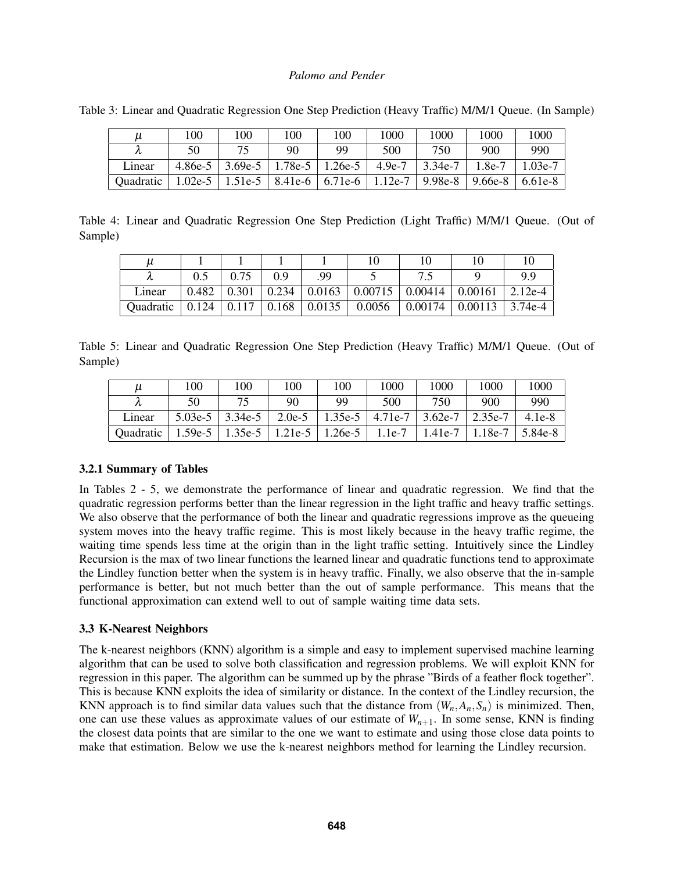| и         | 100 | 100                                                                           | 100 | 100 | 1000 | 1000        | 1000   | 1000      |
|-----------|-----|-------------------------------------------------------------------------------|-----|-----|------|-------------|--------|-----------|
|           | 50  |                                                                               | 90  | 99  | 500  | 750         | 900    | 990       |
| Linear    |     | $4.86e-5$   3.69e-5   1.78e-5   1.26e-5   4.9e-7                              |     |     |      | $ 3.34e-7 $ | 1.8e-7 | $1.03e-7$ |
| Quadratic |     | 1.02e-5   1.51e-5   8.41e-6   6.71e-6   1.12e-7   9.98e-8   9.66e-8   6.61e-8 |     |     |      |             |        |           |

Table 3: Linear and Quadratic Regression One Step Prediction (Heavy Traffic) M/M/1 Queue. (In Sample)

Table 4: Linear and Quadratic Regression One Step Prediction (Light Traffic) M/M/1 Queue. (Out of Sample)

| μ         |       |       |       |                  |        |                                                  |         |           |
|-----------|-------|-------|-------|------------------|--------|--------------------------------------------------|---------|-----------|
|           |       | 0.75  | 0.9   | QQ               |        |                                                  |         | QQ        |
| Linear    | 0.482 | 0.301 | 0.234 |                  |        | $\vert 0.0163 \vert 0.00715 \vert 0.00414 \vert$ | 0.00161 | 2.12e-4   |
| Quadratic | 0.124 | 0.117 |       | $0.168$   0.0135 | 0.0056 | $\mid 0.00174 \mid$                              | 0.00113 | $3.74e-4$ |

<span id="page-4-0"></span>Table 5: Linear and Quadratic Regression One Step Prediction (Heavy Traffic) M/M/1 Queue. (Out of Sample)

| $\mu$     | 100       | 100       | 100      | 100       | 1000      | 1000      | 1000    | 1000     |
|-----------|-----------|-----------|----------|-----------|-----------|-----------|---------|----------|
| χı        | 50        | 75        | 90       | 99        | 500       | 750       | 900     | 990      |
| Linear    | $5.03e-5$ | $3.34e-5$ | $2.0e-5$ | $1.35e-5$ | $4.71e-7$ | $3.62e-7$ | 2.35e-7 | $4.1e-8$ |
| Quadratic | $1.59e-5$ | 1.35e-5   | 1.21e-5  | 1.26e-5   | $1.1e-7$  | 1.41e-7   | 1.18e-7 | 5.84e-8  |

### 3.2.1 Summary of Tables

In Tables [2](#page-3-1) - [5,](#page-4-0) we demonstrate the performance of linear and quadratic regression. We find that the quadratic regression performs better than the linear regression in the light traffic and heavy traffic settings. We also observe that the performance of both the linear and quadratic regressions improve as the queueing system moves into the heavy traffic regime. This is most likely because in the heavy traffic regime, the waiting time spends less time at the origin than in the light traffic setting. Intuitively since the Lindley Recursion is the max of two linear functions the learned linear and quadratic functions tend to approximate the Lindley function better when the system is in heavy traffic. Finally, we also observe that the in-sample performance is better, but not much better than the out of sample performance. This means that the functional approximation can extend well to out of sample waiting time data sets.

### 3.3 K-Nearest Neighbors

The k-nearest neighbors (KNN) algorithm is a simple and easy to implement supervised machine learning algorithm that can be used to solve both classification and regression problems. We will exploit KNN for regression in this paper. The algorithm can be summed up by the phrase "Birds of a feather flock together". This is because KNN exploits the idea of similarity or distance. In the context of the Lindley recursion, the KNN approach is to find similar data values such that the distance from  $(W_n, A_n, S_n)$  is minimized. Then, one can use these values as approximate values of our estimate of  $W_{n+1}$ . In some sense, KNN is finding the closest data points that are similar to the one we want to estimate and using those close data points to make that estimation. Below we use the k-nearest neighbors method for learning the Lindley recursion.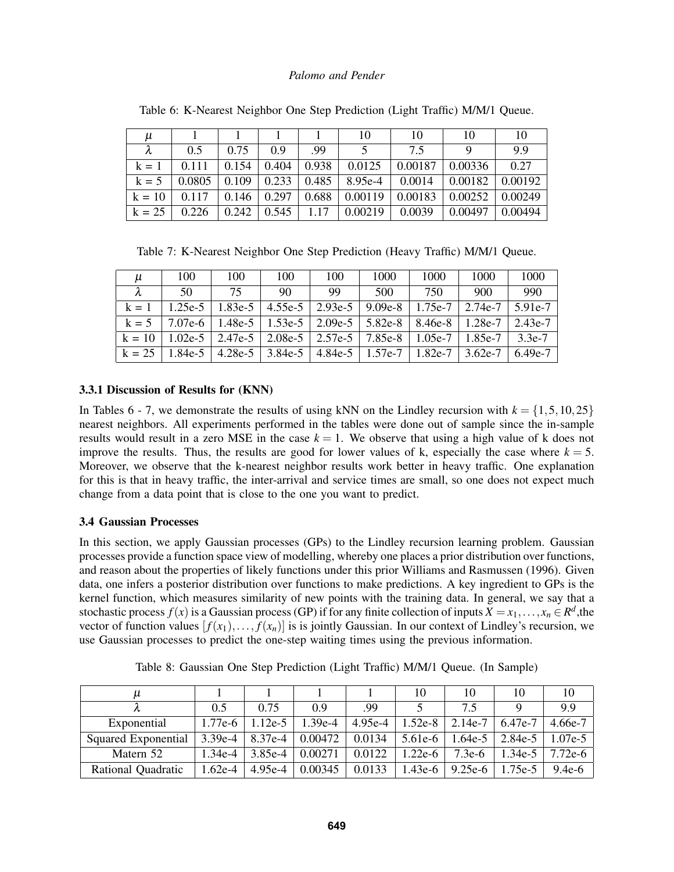<span id="page-5-0"></span>

| $\mu$    |        |       |                   |       | 10               | 10              | 10                    | 10      |
|----------|--------|-------|-------------------|-------|------------------|-----------------|-----------------------|---------|
|          | 0.5    | 0.75  | 0.9               | .99   |                  | 7.5             |                       | 9.9     |
| $k = 1$  | 0.111  | 0.154 | 0.404             | 0.938 | 0.0125           | 0.00187         | 0.00336               | 0.27    |
| $k = 5$  | 0.0805 | 0.109 | $\perp 0.233$     | 0.485 | $8.95e-4$ 0.0014 |                 | $\vert 0.00182 \vert$ | 0.00192 |
| $k = 10$ | 0.117  |       | $0.146 \pm 0.297$ | 0.688 | 0.00119          | $\vert 0.00183$ | $0.00252 \pm 0.00249$ |         |
| $k = 25$ | 0.226  | 0.242 | $\pm 0.545$       | 1.17  | 0.00219          | 0.0039          | 0.00497               | 0.00494 |

Table 6: K-Nearest Neighbor One Step Prediction (Light Traffic) M/M/1 Queue.

Table 7: K-Nearest Neighbor One Step Prediction (Heavy Traffic) M/M/1 Queue.

<span id="page-5-1"></span>

| u         | 100       | 100                                                                 | 100               | 100 | 1000                                                        | 1000 | 1000      | 1000      |
|-----------|-----------|---------------------------------------------------------------------|-------------------|-----|-------------------------------------------------------------|------|-----------|-----------|
| $\lambda$ | 50        | 75                                                                  | 90                | -99 | 500                                                         | 750  | 900       | 990       |
| $k = 1$   | $1.25e-5$ |                                                                     |                   |     | 1.83e-5   4.55e-5   2.93e-5   9.09e-8   1.75e-7             |      | 2.74e-7   | $5.91e-7$ |
| $k = 5$   |           | 7.07e-6   1.48e-5   1.53e-5   2.09e-5   5.82e-8   8.46e-8   1.28e-7 |                   |     |                                                             |      |           | $2.43e-7$ |
| $k = 10$  | $1.02e-5$ |                                                                     |                   |     | 2.47e-5   2.08e-5   2.57e-5   7.85e-8   1.05e-7             |      | $1.85e-7$ | $3.3e-7$  |
| $k = 25$  | $1.84e-5$ |                                                                     | 4.28e-5   3.84e-5 |     | $\mid$ 4.84e-5 $\mid$ 1.57e-7 $\mid$ 1.82e-7 $\mid$ 3.62e-7 |      |           | 6.49e-7   |

# 3.3.1 Discussion of Results for (KNN)

In Tables [6](#page-5-0) - [7,](#page-5-1) we demonstrate the results of using kNN on the Lindley recursion with  $k = \{1, 5, 10, 25\}$ nearest neighbors. All experiments performed in the tables were done out of sample since the in-sample results would result in a zero MSE in the case  $k = 1$ . We observe that using a high value of k does not improve the results. Thus, the results are good for lower values of k, especially the case where  $k = 5$ . Moreover, we observe that the k-nearest neighbor results work better in heavy traffic. One explanation for this is that in heavy traffic, the inter-arrival and service times are small, so one does not expect much change from a data point that is close to the one you want to predict.

## 3.4 Gaussian Processes

In this section, we apply Gaussian processes (GPs) to the Lindley recursion learning problem. Gaussian processes provide a function space view of modelling, whereby one places a prior distribution over functions, and reason about the properties of likely functions under this prior [Williams and Rasmussen \(1996\).](#page-11-11) Given data, one infers a posterior distribution over functions to make predictions. A key ingredient to GPs is the kernel function, which measures similarity of new points with the training data. In general, we say that a stochastic process  $f(x)$  is a Gaussian process (GP) if for any finite collection of inputs  $X = x_1, \ldots, x_n \in \mathbb{R}^d$ , the vector of function values  $[f(x_1),..., f(x_n)]$  is is jointly Gaussian. In our context of Lindley's recursion, we use Gaussian processes to predict the one-step waiting times using the previous information.

<span id="page-5-2"></span>

| и                   |           |          |           |           | 10        | 10        | 10       | 10        |
|---------------------|-----------|----------|-----------|-----------|-----------|-----------|----------|-----------|
|                     | 0.5       | 0.75     | 0.9       | .99       |           | 75        |          | 9.9       |
| Exponential         | $1.77e-6$ | $.12e-5$ | $1.39e-4$ | $4.95e-4$ | $1.52e-8$ | $2.14e-7$ | 6.47e-7  | 4.66e-7   |
| Squared Exponential | $3.39e-4$ | 8.37e-4  | 0.00472   | 0.0134    | $5.61e-6$ | $1.64e-5$ | 2.84e-5  | $1.07e-5$ |
| Matern 52           | $.34e-4$  | 3.85e-4  | 0.00271   | 0.0122    | $1.22e-6$ | $7.3e-6$  | $.34e-5$ | $7.72e-6$ |
| Rational Quadratic  | $1.62e-4$ | 4.95e-4  | 0.00345   | 0.0133    | $1.43e-6$ | $9.25e-6$ | $.75e-5$ | $9.4e-6$  |

Table 8: Gaussian One Step Prediction (Light Traffic) M/M/1 Queue. (In Sample)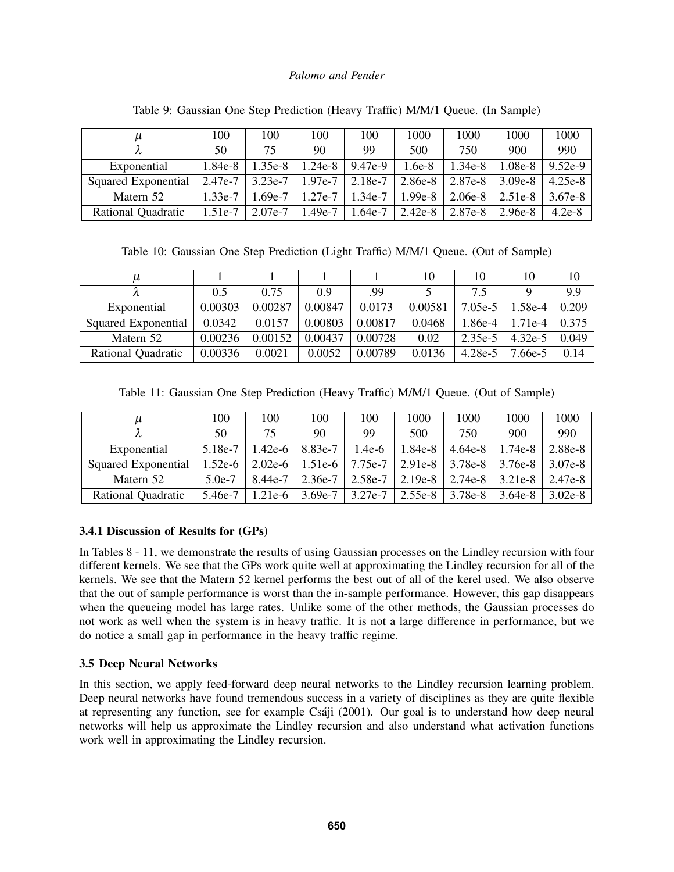| и                   | 100       | 100       | 100       | 100       | 1000      | 1000      | 1000      | 1000      |
|---------------------|-----------|-----------|-----------|-----------|-----------|-----------|-----------|-----------|
|                     | 50        | 75        | 90        | 99        | 500       | 750       | 900       | 990       |
| Exponential         | $1.84e-8$ | .35e-8    | 1.24e-8   | 9.47e-9   | $1.6e-8$  | $1.34e-8$ | 1.08e-8   | $9.52e-9$ |
| Squared Exponential | 2.47e-7   | $3.23e-7$ | $1.97e-7$ | $2.18e-7$ | 2.86e-8   | 2.87e-8   | $3.09e-8$ | $4.25e-8$ |
| Matern 52           | $1.33e-7$ | $-69e-7$  | 1.27e-7   | $1.34e-7$ | $1.99e-8$ | $2.06e-8$ | $2.51e-8$ | 3.67e-8   |
| Rational Quadratic  | $1.51e-7$ | 2.07e-7   | 1.49e-7   | $1.64e-7$ | 2.42e-8   | 2.87e-8   | 2.96e-8   | $4.2e-8$  |

Table 9: Gaussian One Step Prediction (Heavy Traffic) M/M/1 Queue. (In Sample)

Table 10: Gaussian One Step Prediction (Light Traffic) M/M/1 Queue. (Out of Sample)

| и                   |         |         |         |         | 10      | 10      | 10        | 10    |
|---------------------|---------|---------|---------|---------|---------|---------|-----------|-------|
|                     | 0.5     | 0.75    | 0.9     | .99     |         | 7.5     |           | 9.9   |
| Exponential         | 0.00303 | 0.00287 | 0.00847 | 0.0173  | 0.00581 | 7.05e-5 | .58e-4    | 0.209 |
| Squared Exponential | 0.0342  | 0.0157  | 0.00803 | 0.00817 | 0.0468  | 1.86e-4 | $1.71e-4$ | 0.375 |
| Matern 52           | 0.00236 | 0.00152 | 0.00437 | 0.00728 | 0.02    | 2.35e-5 | $4.32e-5$ | 0.049 |
| Rational Quadratic  | 0.00336 | 0.0021  | 0.0052  | 0.00789 | 0.0136  | 4.28e-5 | 7.66e-5   | 0.14  |

Table 11: Gaussian One Step Prediction (Heavy Traffic) M/M/1 Queue. (Out of Sample)

<span id="page-6-0"></span>

| и                         | 100       | 100       | 100       | 100       | 1000      | 1000      | 1000      | 1000      |
|---------------------------|-----------|-----------|-----------|-----------|-----------|-----------|-----------|-----------|
|                           | 50        | 75        | 90        | 99        | 500       | 750       | 900       | 990       |
| Exponential               | 5.18e-7   | $.42e-6$  | 8.83e-7   | 1.4e-6    | 1.84e-8   | $4.64e-8$ | $.74e-8.$ | 2.88e-8   |
| Squared Exponential       | $1.52e-6$ | $2.02e-6$ | $1.51e-6$ | $7.75e-7$ | $2.91e-8$ | $3.78e-8$ | $3.76e-8$ | 3.07e-8   |
| Matern 52                 | $5.0e-7$  | 8.44e-7   | $2.36e-7$ | $2.58e-7$ | $2.19e-8$ | 2.74e-8   | 3.21e-8   | 2.47e-8   |
| <b>Rational Quadratic</b> | 5.46e-7   | $1.21e-6$ | $3.69e-7$ | $3.27e-7$ | $2.55e-8$ | $3.78e-8$ | $3.64e-8$ | $3.02e-8$ |

# 3.4.1 Discussion of Results for (GPs)

In Tables [8](#page-5-2) - [11,](#page-6-0) we demonstrate the results of using Gaussian processes on the Lindley recursion with four different kernels. We see that the GPs work quite well at approximating the Lindley recursion for all of the kernels. We see that the Matern 52 kernel performs the best out of all of the kerel used. We also observe that the out of sample performance is worst than the in-sample performance. However, this gap disappears when the queueing model has large rates. Unlike some of the other methods, the Gaussian processes do not work as well when the system is in heavy traffic. It is not a large difference in performance, but we do notice a small gap in performance in the heavy traffic regime.

# 3.5 Deep Neural Networks

In this section, we apply feed-forward deep neural networks to the Lindley recursion learning problem. Deep neural networks have found tremendous success in a variety of disciplines as they are quite flexible at representing any function, see for example Csáji (2001). Our goal is to understand how deep neural networks will help us approximate the Lindley recursion and also understand what activation functions work well in approximating the Lindley recursion.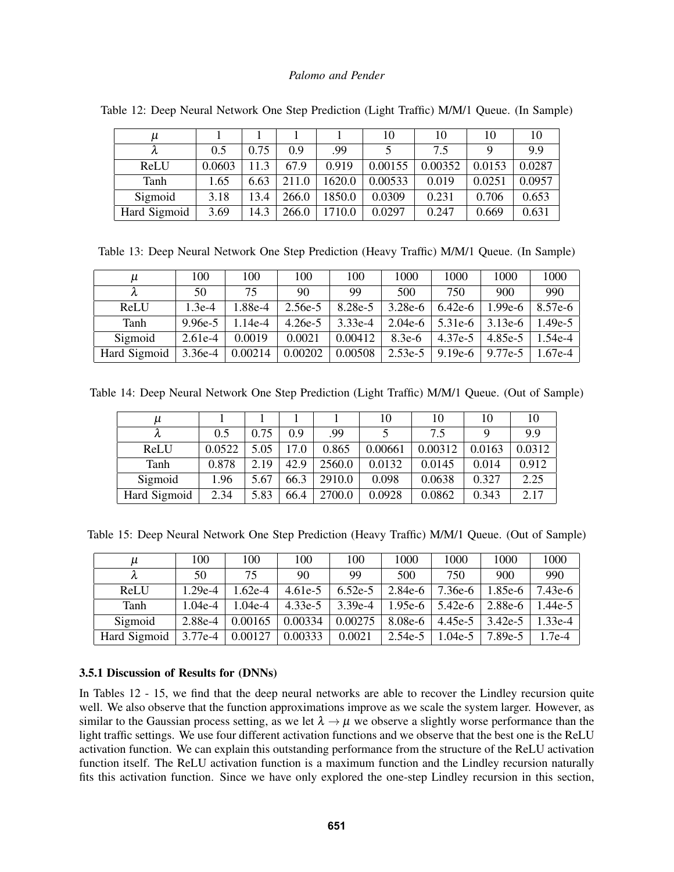| и            |        |      |       |        | 10      | 10      | 10     | 10     |
|--------------|--------|------|-------|--------|---------|---------|--------|--------|
|              | 0.5    | 0.75 | 0.9   | .99    |         | 7.5     |        | 9.9    |
| ReLU         | 0.0603 | 11 3 | 67.9  | 0.919  | 0.00155 | 0.00352 | 0.0153 | 0.0287 |
| Tanh         | 1.65   | 6.63 | 211.0 | 1620.0 | 0.00533 | 0.019   | 0.0251 | 0.0957 |
| Sigmoid      | 3.18   | 13.4 | 266.0 | 1850.0 | 0.0309  | 0.231   | 0.706  | 0.653  |
| Hard Sigmoid | 3.69   | 14.3 | 266.0 | l710.0 | 0.0297  | 0.247   | 0.669  | 0.631  |

<span id="page-7-0"></span>Table 12: Deep Neural Network One Step Prediction (Light Traffic) M/M/1 Queue. (In Sample)

Table 13: Deep Neural Network One Step Prediction (Heavy Traffic) M/M/1 Queue. (In Sample)

| μ            | 100       | 100       | 100       | 100       | 1000      | 1000      | 1000      | 1000      |
|--------------|-----------|-----------|-----------|-----------|-----------|-----------|-----------|-----------|
|              | 50        | 75        | 90        | 99        | 500       | 750       | 900       | 990       |
| ReLU         | $.3e-4$   | 1.88e-4   | $2.56e-5$ | 8.28e-5   | $3.28e-6$ | $6.42e-6$ | $1.99e-6$ | 8.57e-6   |
| Tanh         | $9.96e-5$ | $1.14e-4$ | $4.26e-5$ | $3.33e-4$ | $2.04e-6$ | $5.31e-6$ | $3.13e-6$ | $1.49e-5$ |
| Sigmoid      | $2.61e-4$ | 0.0019    | 0.0021    | 0.00412   | $8.3e-6$  | 4.37e-5   | 4.85e-5   | $1.54e-4$ |
| Hard Sigmoid | $3.36e-4$ | 0.00214   | 0.00202   | 0.00508   | $2.53e-5$ | $9.19e-6$ | 9.77e-5   | .67e-4    |

Table 14: Deep Neural Network One Step Prediction (Light Traffic) M/M/1 Queue. (Out of Sample)

| $\mu$        |        |      |      |        | 10      | 10      | 10     | 10     |
|--------------|--------|------|------|--------|---------|---------|--------|--------|
|              | 0.5    | 0.75 | 09   | .99    |         | 7.5     | Q      | 9.9    |
| ReLU         | 0.0522 | 5.05 | 17.0 | 0.865  | 0.00661 | 0.00312 | 0.0163 | 0.0312 |
| Tanh         | 0.878  | 2.19 | 42.9 | 2560.0 | 0.0132  | 0.0145  | 0.014  | 0.912  |
| Sigmoid      | 1.96   | 5.67 | 66.3 | 2910.0 | 0.098   | 0.0638  | 0.327  | 2.25   |
| Hard Sigmoid | 2.34   | 5.83 | 66.4 | 2700.0 | 0.0928  | 0.0862  | 0.343  | 2.17   |

<span id="page-7-1"></span>Table 15: Deep Neural Network One Step Prediction (Heavy Traffic) M/M/1 Queue. (Out of Sample)

| и            | 100       | 100     | 100       | 100       | 1000      | 1000      | 1000      | 1000      |
|--------------|-----------|---------|-----------|-----------|-----------|-----------|-----------|-----------|
|              | 50        | 75      | 90        | 99        | 500       | 750       | 900       | 990       |
| ReLU         | $1.29e-4$ | 1.62e-4 | $4.61e-5$ | $6.52e-5$ | $2.84e-6$ | 7.36e-6   | 1.85e-6   | $7.43e-6$ |
| Tanh         | $1.04e-4$ | 1.04e-4 | $4.33e-5$ | $3.39e-4$ | $1.95e-6$ | $5.42e-6$ | $2.88e-6$ | $1.44e-5$ |
| Sigmoid      | 2.88e-4   | 0.00165 | 0.00334   | 0.00275   | $8.08e-6$ | 4.45e-5   | 3.42e-5   | $1.33e-4$ |
| Hard Sigmoid | 3.77e-4   | 0.00127 | 0.00333   | 0.0021    | $2.54e-5$ | $1.04e-5$ | 7.89e-5   | $1.7e-4$  |

## 3.5.1 Discussion of Results for (DNNs)

In Tables [12](#page-7-0) - [15,](#page-7-1) we find that the deep neural networks are able to recover the Lindley recursion quite well. We also observe that the function approximations improve as we scale the system larger. However, as similar to the Gaussian process setting, as we let  $\lambda \to \mu$  we observe a slightly worse performance than the light traffic settings. We use four different activation functions and we observe that the best one is the ReLU activation function. We can explain this outstanding performance from the structure of the ReLU activation function itself. The ReLU activation function is a maximum function and the Lindley recursion naturally fits this activation function. Since we have only explored the one-step Lindley recursion in this section,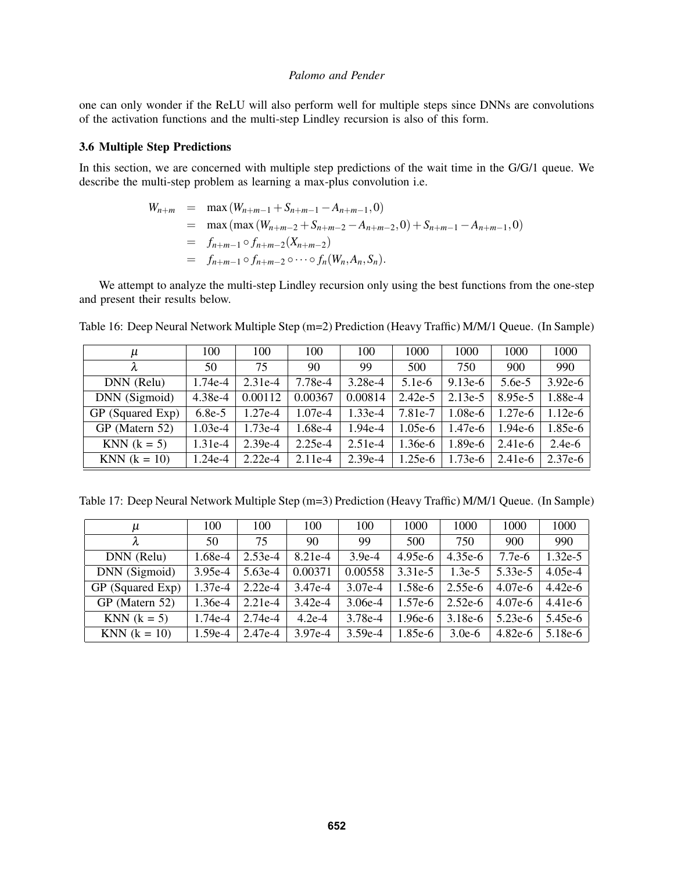one can only wonder if the ReLU will also perform well for multiple steps since DNNs are convolutions of the activation functions and the multi-step Lindley recursion is also of this form.

### 3.6 Multiple Step Predictions

In this section, we are concerned with multiple step predictions of the wait time in the G/G/1 queue. We describe the multi-step problem as learning a max-plus convolution i.e.

$$
W_{n+m} = \max(W_{n+m-1} + S_{n+m-1} - A_{n+m-1}, 0)
$$
  
=  $\max(\max(W_{n+m-2} + S_{n+m-2} - A_{n+m-2}, 0) + S_{n+m-1} - A_{n+m-1}, 0)$   
=  $f_{n+m-1} \circ f_{n+m-2}(X_{n+m-2})$   
=  $f_{n+m-1} \circ f_{n+m-2} \circ \cdots \circ f_n(W_n, A_n, S_n).$ 

We attempt to analyze the multi-step Lindley recursion only using the best functions from the one-step and present their results below.

| μ                | 100       | 100       | 100       | 100       | 1000      | 1000      | 1000      | 1000      |
|------------------|-----------|-----------|-----------|-----------|-----------|-----------|-----------|-----------|
|                  | 50        | 75        | 90        | 99        | 500       | 750       | 900       | 990       |
| DNN (Relu)       | 1.74e-4   | $2.31e-4$ | 7.78e-4   | 3.28e-4   | $5.1e-6$  | $9.13e-6$ | $5.6e-5$  | $3.92e-6$ |
| DNN (Sigmoid)    | 4.38e-4   | 0.00112   | 0.00367   | 0.00814   | $2.42e-5$ | $2.13e-5$ | 8.95e-5   | 1.88e-4   |
| GP (Squared Exp) | $6.8e-5$  | $1.27e-4$ | $1.07e-4$ | $1.33e-4$ | 7.81e-7   | $1.08e-6$ | $1.27e-6$ | $1.12e-6$ |
| GP (Matern 52)   | $1.03e-4$ | 1.73e-4   | 1.68e-4   | 1.94e-4   | $1.05e-6$ | $1.47e-6$ | $1.94e-6$ | $1.85e-6$ |
| KNN $(k = 5)$    | $1.31e-4$ | $2.39e-4$ | $2.25e-4$ | $2.51e-4$ | $1.36e-6$ | $1.89e-6$ | $2.41e-6$ | $2.4e-6$  |
| $KNN (k = 10)$   | $1.24e-4$ | $2.22e-4$ | $2.11e-4$ | $2.39e-4$ | $1.25e-6$ | $1.73e-6$ | $2.41e-6$ | $2.37e-6$ |

<span id="page-8-0"></span>Table 16: Deep Neural Network Multiple Step (m=2) Prediction (Heavy Traffic) M/M/1 Queue. (In Sample)

Table 17: Deep Neural Network Multiple Step (m=3) Prediction (Heavy Traffic) M/M/1 Queue. (In Sample)

| μ                     | 100       | 100       | 100       | 100       | 1000      | 1000      | 1000      | 1000      |
|-----------------------|-----------|-----------|-----------|-----------|-----------|-----------|-----------|-----------|
|                       | 50        | 75        | 90        | 99        | 500       | 750       | 900       | 990       |
| DNN (Relu)            | $1.68e-4$ | $2.53e-4$ | $8.21e-4$ | $3.9e-4$  | $4.95e-6$ | $4.35e-6$ | $7.7e-6$  | $1.32e-5$ |
| DNN (Sigmoid)         | $3.95e-4$ | $5.63e-4$ | 0.00371   | 0.00558   | 3.31e-5   | $1.3e-5$  | 5.33e-5   | $4.05e-4$ |
| GP (Squared Exp)      | $1.37e-4$ | $2.22e-4$ | 3.47e-4   | $3.07e-4$ | $1.58e-6$ | $2.55e-6$ | $4.07e-6$ | $4.42e-6$ |
| GP (Matern 52)        | $1.36e-4$ | $2.21e-4$ | $3.42e-4$ | $3.06e-4$ | $1.57e-6$ | $2.52e-6$ | $4.07e-6$ | $4.41e-6$ |
| $KNN (k = 5)$         | $1.74e-4$ | 2.74e-4   | $4.2e-4$  | 3.78e-4   | $1.96e-6$ | $3.18e-6$ | $5.23e-6$ | 5.45e-6   |
| <b>KNN</b> $(k = 10)$ | $1.59e-4$ | $2.47e-4$ | $3.97e-4$ | $3.59e-4$ | $1.85e-6$ | $3.0e-6$  | $4.82e-6$ | $5.18e-6$ |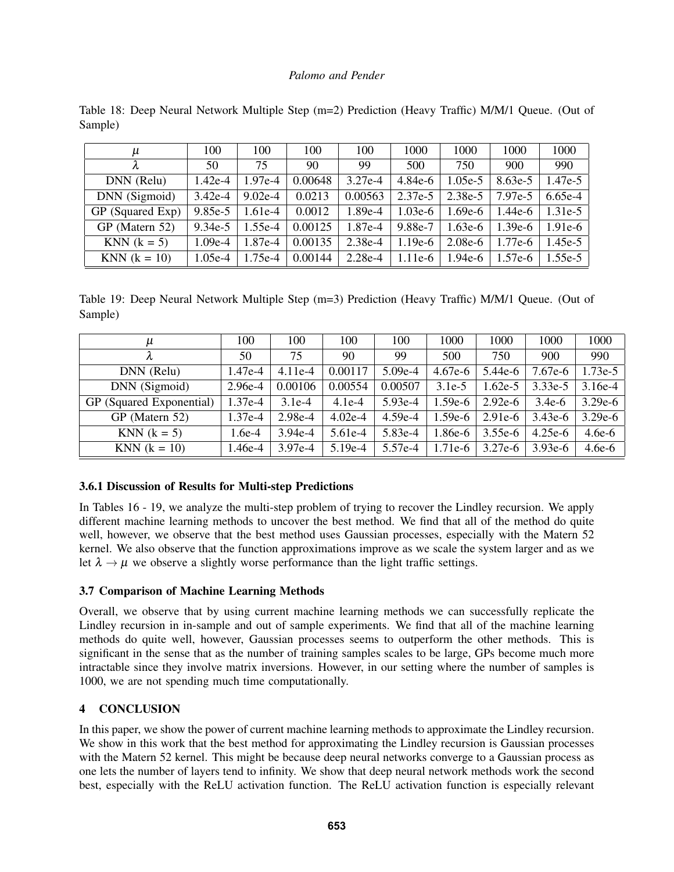| $\mu$            | 100       | 100       | 100     | 100       | 1000      | 1000      | 1000      | 1000      |
|------------------|-----------|-----------|---------|-----------|-----------|-----------|-----------|-----------|
| λ                | 50        | 75        | 90      | 99        | 500       | 750       | 900       | 990       |
| DNN (Relu)       | $1.42e-4$ | $1.97e-4$ | 0.00648 | $3.27e-4$ | $4.84e-6$ | $1.05e-5$ | $8.63e-5$ | 1.47e-5   |
| DNN (Sigmoid)    | $3.42e-4$ | $9.02e-4$ | 0.0213  | 0.00563   | $2.37e-5$ | $2.38e-5$ | 7.97e-5   | $6.65e-4$ |
| GP (Squared Exp) | $9.85e-5$ | $1.61e-4$ | 0.0012  | 1.89e-4   | $1.03e-6$ | $1.69e-6$ | $.44e-6$  | $1.31e-5$ |
| GP (Matern 52)   | $9.34e-5$ | $1.55e-4$ | 0.00125 | 1.87e-4   | 9.88e-7   | $1.63e-6$ | $1.39e-6$ | $1.91e-6$ |
| $KNN (k = 5)$    | $1.09e-4$ | 1.87e-4   | 0.00135 | $2.38e-4$ | $1.19e-6$ | $2.08e-6$ | $1.77e-6$ | $1.45e-5$ |
| $KNN (k = 10)$   | $1.05e-4$ | $1.75e-4$ | 0.00144 | $2.28e-4$ | $1.11e-6$ | $1.94e-6$ | $1.57e-6$ | $1.55e-5$ |

Table 18: Deep Neural Network Multiple Step (m=2) Prediction (Heavy Traffic) M/M/1 Queue. (Out of Sample)

<span id="page-9-1"></span>Table 19: Deep Neural Network Multiple Step (m=3) Prediction (Heavy Traffic) M/M/1 Queue. (Out of Sample)

| и                        | 100       | 100       | 100       | 100       | 1000      | 1000      | 1000      | 1000      |
|--------------------------|-----------|-----------|-----------|-----------|-----------|-----------|-----------|-----------|
|                          | 50        | 75        | 90        | 99        | 500       | 750       | 900       | 990       |
| DNN (Relu)               | 1.47e-4   | $4.11e-4$ | 0.00117   | 5.09e-4   | $4.67e-6$ | $5.44e-6$ | 7.67e-6   | $1.73e-5$ |
| DNN (Sigmoid)            | 2.96e-4   | 0.00106   | 0.00554   | 0.00507   | $3.1e-5$  | $1.62e-5$ | $3.33e-5$ | $3.16e-4$ |
| GP (Squared Exponential) | $1.37e-4$ | $3.1e-4$  | $4.1e-4$  | $5.93e-4$ | $1.59e-6$ | $2.92e-6$ | $3.4e-6$  | $3.29e-6$ |
| GP (Matern 52)           | $1.37e-4$ | $2.98e-4$ | $4.02e-4$ | $4.59e-4$ | $1.59e-6$ | $2.91e-6$ | $3.43e-6$ | $3.29e-6$ |
| $KNN (k = 5)$            | 1.6e-4    | $3.94e-4$ | $5.61e-4$ | 5.83e-4   | $1.86e-6$ | $3.55e-6$ | $4.25e-6$ | $4.6e-6$  |
| <b>KNN</b> $(k = 10)$    | 1.46e-4   | $3.97e-4$ | $5.19e-4$ | 5.57e-4   | $1.71e-6$ | $3.27e-6$ | $3.93e-6$ | $4.6e-6$  |

# 3.6.1 Discussion of Results for Multi-step Predictions

In Tables [16](#page-8-0) - [19,](#page-9-1) we analyze the multi-step problem of trying to recover the Lindley recursion. We apply different machine learning methods to uncover the best method. We find that all of the method do quite well, however, we observe that the best method uses Gaussian processes, especially with the Matern 52 kernel. We also observe that the function approximations improve as we scale the system larger and as we let  $\lambda \rightarrow \mu$  we observe a slightly worse performance than the light traffic settings.

# 3.7 Comparison of Machine Learning Methods

Overall, we observe that by using current machine learning methods we can successfully replicate the Lindley recursion in in-sample and out of sample experiments. We find that all of the machine learning methods do quite well, however, Gaussian processes seems to outperform the other methods. This is significant in the sense that as the number of training samples scales to be large, GPs become much more intractable since they involve matrix inversions. However, in our setting where the number of samples is 1000, we are not spending much time computationally.

# <span id="page-9-0"></span>4 CONCLUSION

In this paper, we show the power of current machine learning methods to approximate the Lindley recursion. We show in this work that the best method for approximating the Lindley recursion is Gaussian processes with the Matern 52 kernel. This might be because deep neural networks converge to a Gaussian process as one lets the number of layers tend to infinity. We show that deep neural network methods work the second best, especially with the ReLU activation function. The ReLU activation function is especially relevant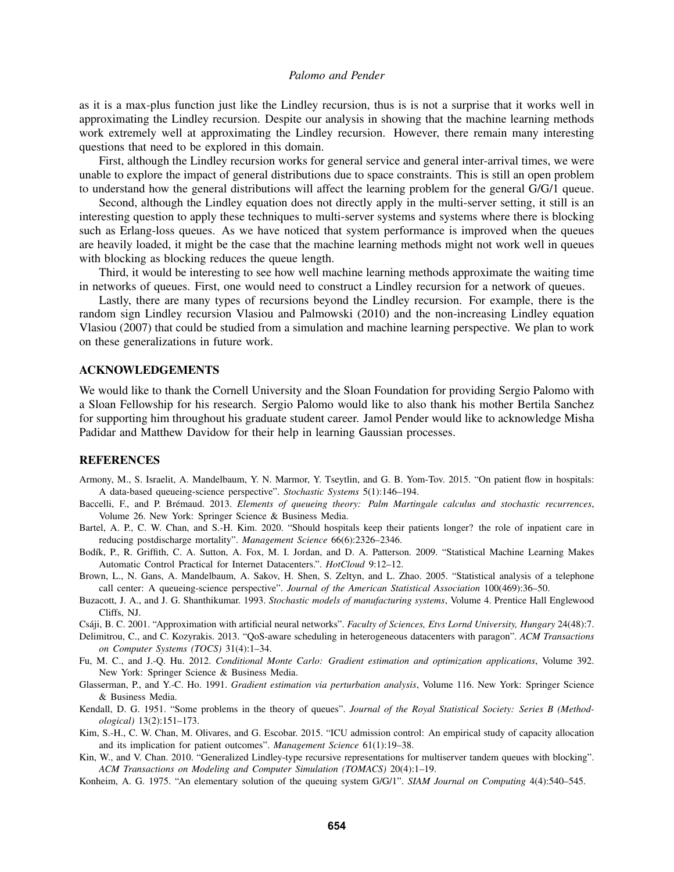as it is a max-plus function just like the Lindley recursion, thus is is not a surprise that it works well in approximating the Lindley recursion. Despite our analysis in showing that the machine learning methods work extremely well at approximating the Lindley recursion. However, there remain many interesting questions that need to be explored in this domain.

First, although the Lindley recursion works for general service and general inter-arrival times, we were unable to explore the impact of general distributions due to space constraints. This is still an open problem to understand how the general distributions will affect the learning problem for the general G/G/1 queue.

Second, although the Lindley equation does not directly apply in the multi-server setting, it still is an interesting question to apply these techniques to multi-server systems and systems where there is blocking such as Erlang-loss queues. As we have noticed that system performance is improved when the queues are heavily loaded, it might be the case that the machine learning methods might not work well in queues with blocking as blocking reduces the queue length.

Third, it would be interesting to see how well machine learning methods approximate the waiting time in networks of queues. First, one would need to construct a Lindley recursion for a network of queues.

Lastly, there are many types of recursions beyond the Lindley recursion. For example, there is the random sign Lindley recursion [Vlasiou and Palmowski \(2010\)](#page-11-12) and the non-increasing Lindley equation [Vlasiou \(2007\)](#page-11-13) that could be studied from a simulation and machine learning perspective. We plan to work on these generalizations in future work.

### ACKNOWLEDGEMENTS

We would like to thank the Cornell University and the Sloan Foundation for providing Sergio Palomo with a Sloan Fellowship for his research. Sergio Palomo would like to also thank his mother Bertila Sanchez for supporting him throughout his graduate student career. Jamol Pender would like to acknowledge Misha Padidar and Matthew Davidow for their help in learning Gaussian processes.

### **REFERENCES**

- <span id="page-10-8"></span>Armony, M., S. Israelit, A. Mandelbaum, Y. N. Marmor, Y. Tseytlin, and G. B. Yom-Tov. 2015. "On patient flow in hospitals: A data-based queueing-science perspective". *Stochastic Systems* 5(1):146–194.
- <span id="page-10-4"></span>Baccelli, F., and P. Brémaud. 2013. *Elements of queueing theory: Palm Martingale calculus and stochastic recurrences*, Volume 26. New York: Springer Science & Business Media.
- <span id="page-10-7"></span>Bartel, A. P., C. W. Chan, and S.-H. Kim. 2020. "Should hospitals keep their patients longer? the role of inpatient care in reducing postdischarge mortality". *Management Science* 66(6):2326–2346.
- <span id="page-10-5"></span>Bodík, P., R. Griffith, C. A. Sutton, A. Fox, M. I. Jordan, and D. A. Patterson. 2009. "Statistical Machine Learning Makes Automatic Control Practical for Internet Datacenters.". *HotCloud* 9:12–12.
- <span id="page-10-10"></span>Brown, L., N. Gans, A. Mandelbaum, A. Sakov, H. Shen, S. Zeltyn, and L. Zhao. 2005. "Statistical analysis of a telephone call center: A queueing-science perspective". *Journal of the American Statistical Association* 100(469):36–50.
- <span id="page-10-0"></span>Buzacott, J. A., and J. G. Shanthikumar. 1993. *Stochastic models of manufacturing systems*, Volume 4. Prentice Hall Englewood Cliffs, NJ.
- <span id="page-10-13"></span>Csáji, B. C. 2001. "Approximation with artificial neural networks". Faculty of Sciences, Etvs Lornd University, Hungary 24(48):7.
- <span id="page-10-9"></span>Delimitrou, C., and C. Kozyrakis. 2013. "QoS-aware scheduling in heterogeneous datacenters with paragon". *ACM Transactions on Computer Systems (TOCS)* 31(4):1–34.
- <span id="page-10-2"></span>Fu, M. C., and J.-Q. Hu. 2012. *Conditional Monte Carlo: Gradient estimation and optimization applications*, Volume 392. New York: Springer Science & Business Media.
- <span id="page-10-1"></span>Glasserman, P., and Y.-C. Ho. 1991. *Gradient estimation via perturbation analysis*, Volume 116. New York: Springer Science & Business Media.
- <span id="page-10-11"></span>Kendall, D. G. 1951. "Some problems in the theory of queues". *Journal of the Royal Statistical Society: Series B (Methodological)* 13(2):151–173.
- <span id="page-10-6"></span>Kim, S.-H., C. W. Chan, M. Olivares, and G. Escobar. 2015. "ICU admission control: An empirical study of capacity allocation and its implication for patient outcomes". *Management Science* 61(1):19–38.
- <span id="page-10-3"></span>Kin, W., and V. Chan. 2010. "Generalized Lindley-type recursive representations for multiserver tandem queues with blocking". *ACM Transactions on Modeling and Computer Simulation (TOMACS)* 20(4):1–19.
- <span id="page-10-12"></span>Konheim, A. G. 1975. "An elementary solution of the queuing system G/G/1". *SIAM Journal on Computing* 4(4):540–545.